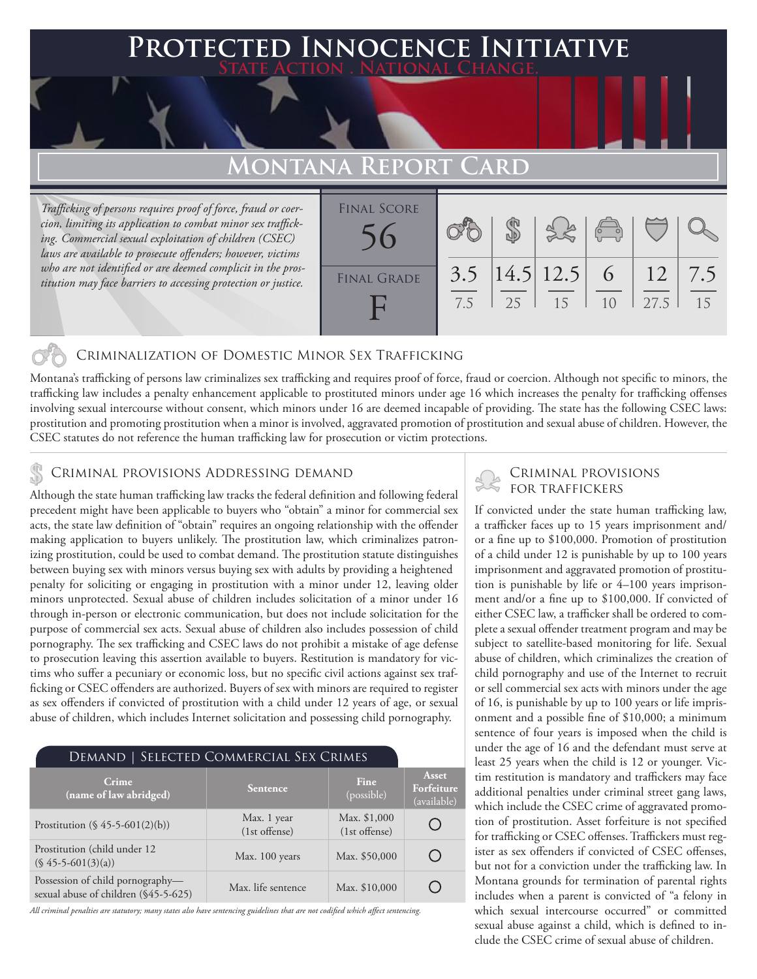## **PTED INNOCENCE INITIAT State Action . National Change.**

## **MONTANA REPORT**

*Trafficking of persons requires proof of force, fraud or coercion, limiting its application to combat minor sex trafficking. Commercial sexual exploitation of children (CSEC) laws are available to prosecute offenders; however, victims who are not identified or are deemed complicit in the prostitution may face barriers to accessing protection or justice.*

| <b>FINAL SCORE</b> |     |             |                 |                                                |               |     |
|--------------------|-----|-------------|-----------------|------------------------------------------------|---------------|-----|
|                    |     |             |                 | $\begin{pmatrix} 0 & 0 \\ 0 & 0 \end{pmatrix}$ |               |     |
| <b>FINAL GRADE</b> | 3.5 |             | $ 14.5 12.5 $ 6 |                                                | <sup>12</sup> | 7.5 |
|                    | 7.5 | $\vert$ 2.5 | 15              | 10                                             | 27.5          | 15  |

### Criminalization of Domestic Minor Sex Trafficking

Montana's trafficking of persons law criminalizes sex trafficking and requires proof of force, fraud or coercion. Although not specific to minors, the trafficking law includes a penalty enhancement applicable to prostituted minors under age 16 which increases the penalty for trafficking offenses involving sexual intercourse without consent, which minors under 16 are deemed incapable of providing. The state has the following CSEC laws: prostitution and promoting prostitution when a minor is involved, aggravated promotion of prostitution and sexual abuse of children. However, the CSEC statutes do not reference the human trafficking law for prosecution or victim protections.

# CRIMINAL PROVISIONS ADDRESSING DEMAND<br>Although the state human trafficking law tracks the foderal definition and following foderal SCRI TRAFFICKERS

Although the state human trafficking law tracks the federal definition and following federal precedent might have been applicable to buyers who "obtain" a minor for commercial sex acts, the state law definition of "obtain" requires an ongoing relationship with the offender making application to buyers unlikely. The prostitution law, which criminalizes patronizing prostitution, could be used to combat demand. The prostitution statute distinguishes between buying sex with minors versus buying sex with adults by providing a heightened penalty for soliciting or engaging in prostitution with a minor under 12, leaving older minors unprotected. Sexual abuse of children includes solicitation of a minor under 16 through in-person or electronic communication, but does not include solicitation for the purpose of commercial sex acts. Sexual abuse of children also includes possession of child pornography. The sex trafficking and CSEC laws do not prohibit a mistake of age defense to prosecution leaving this assertion available to buyers. Restitution is mandatory for victims who suffer a pecuniary or economic loss, but no specific civil actions against sex trafficking or CSEC offenders are authorized. Buyers of sex with minors are required to register as sex offenders if convicted of prostitution with a child under 12 years of age, or sexual abuse of children, which includes Internet solicitation and possessing child pornography.

| DEMAND   SELECTED COMMERCIAL SEX CRIMES                                   |                              |                                 |                                    |  |  |  |
|---------------------------------------------------------------------------|------------------------------|---------------------------------|------------------------------------|--|--|--|
| Crime<br>(name of law abridged)                                           | <b>Sentence</b>              | <b>Fine</b><br>(possible)       | Asset<br>Forfeiture<br>(available) |  |  |  |
| Prostitution $(\S 45 - 5 - 601(2)(b))$                                    | Max. 1 year<br>(1st offense) | Max. \$1,000<br>$(1st$ offense) |                                    |  |  |  |
| Prostitution (child under 12)<br>$(S\ 45-5-601(3)(a))$                    | Max. 100 years               | Max. \$50,000                   |                                    |  |  |  |
| Possession of child pornography—<br>sexual abuse of children (\$45-5-625) | Max. life sentence           | Max. \$10,000                   |                                    |  |  |  |

*All criminal penalties are statutory; many states also have sentencing guidelines that are not codified which affect sentencing.* 

If convicted under the state human trafficking law, a trafficker faces up to 15 years imprisonment and/ or a fine up to \$100,000. Promotion of prostitution of a child under 12 is punishable by up to 100 years imprisonment and aggravated promotion of prostitution is punishable by life or 4–100 years imprisonment and/or a fine up to \$100,000. If convicted of either CSEC law, a trafficker shall be ordered to complete a sexual offender treatment program and may be subject to satellite-based monitoring for life. Sexual abuse of children, which criminalizes the creation of child pornography and use of the Internet to recruit or sell commercial sex acts with minors under the age of 16, is punishable by up to 100 years or life imprisonment and a possible fine of \$10,000; a minimum sentence of four years is imposed when the child is under the age of 16 and the defendant must serve at least 25 years when the child is 12 or younger. Victim restitution is mandatory and traffickers may face additional penalties under criminal street gang laws, which include the CSEC crime of aggravated promotion of prostitution. Asset forfeiture is not specified for trafficking or CSEC offenses. Traffickers must register as sex offenders if convicted of CSEC offenses, but not for a conviction under the trafficking law. In Montana grounds for termination of parental rights includes when a parent is convicted of "a felony in which sexual intercourse occurred" or committed sexual abuse against a child, which is defined to include the CSEC crime of sexual abuse of children.